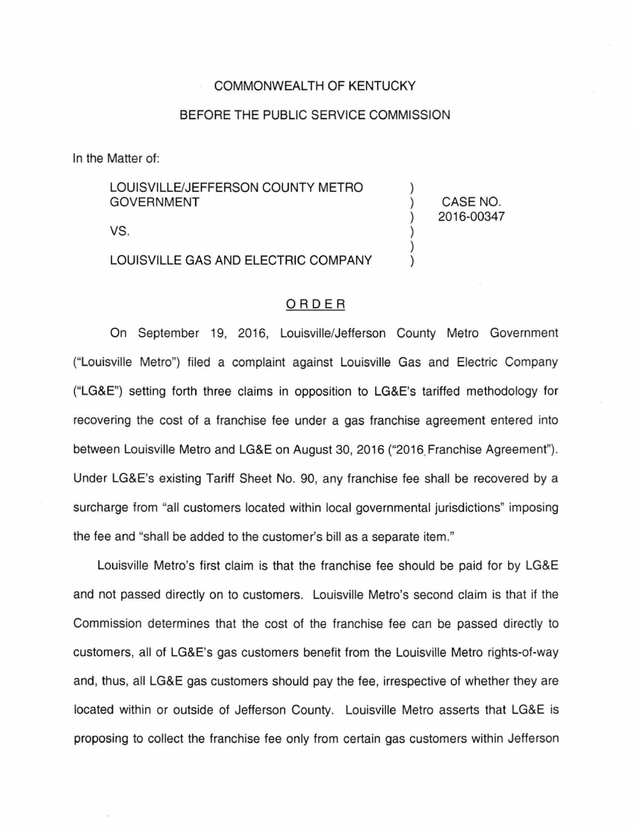## COMMONWEALTH OF KENTUCKY

## BEFORE THE PUBLIC SERVICE COMMISSION

) ) ) ) ) )

CASE NO. 2016-00347

In the Matter of:

LOUISVILLE/JEFFERSON COUNTY METRO GOVERNMENT

vs.

LOUISVILLE GAS AND ELECTRIC COMPANY

## ORDER

On September 19, 2016, Louisville/Jefferson County Metro Government ("Louisville Metro") filed a complaint against Louisville Gas and Electric Company ("LG&E") setting forth three claims in opposition to LG&E's tariffed methodology for recovering the cost of a franchise fee under a gas franchise agreement entered into between Louisville Metro and LG&E on August 30, 2016 ("2016 Franchise Agreement''). Under LG&E's existing Tariff Sheet No. 90, any franchise fee shall be recovered by a surcharge from "all customers located within local governmental jurisdictions" imposing the fee and "shall be added to the customer's bill as a separate item."

Louisville Metro's first claim is that the franchise fee should be paid for by LG&E and not passed directly on to customers. Louisville Metro's second claim is that if the Commission determines that the cost of the franchise fee can be passed directly to customers, all of LG&E's gas customers benefit from the Louisville Metro rights-of-way and, thus, all LG&E gas customers should pay the fee, irrespective of whether they are located within or outside of Jefferson County. Louisville Metro asserts that LG&E is proposing to collect the franchise fee only from certain gas customers within Jefferson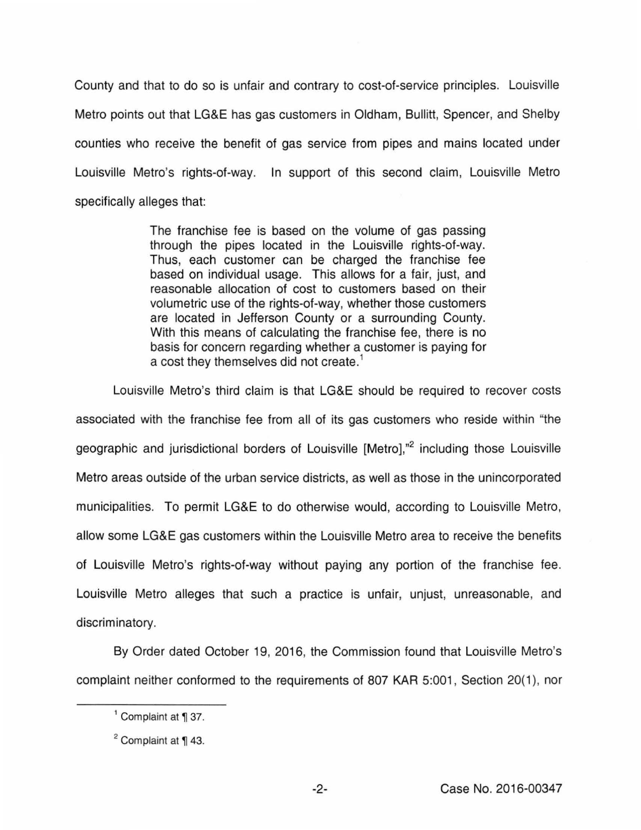County and that to do so is unfair and contrary to cost-of-service principles. Louisville Metro points out that LG&E has gas customers in Oldham, Bullitt, Spencer, and Shelby counties who receive the benefit of gas service from pipes and mains located under Louisville Metro's rights-of-way. In support of this second claim, Louisville Metro specifically alleges that:

> The franchise fee is based on the volume of gas passing through the pipes located in the Louisville rights-of-way. Thus, each customer can be charged the franchise fee based on individual usage. This allows for a fair, just, and reasonable allocation of cost to customers based on their volumetric use of the rights-of-way, whether those customers are located in Jefferson County or a surrounding County. With this means of calculating the franchise fee, there is no basis for concern regarding whether a customer is paying for a cost they themselves did not create.<sup>1</sup>

Louisville Metro's third claim is that LG&E should be required to recover costs associated with the franchise fee from all of its gas customers who reside within "the geographic and jurisdictional borders of Louisville [Metro],"<sup>2</sup> including those Louisville Metro areas outside of the urban service districts, as well as those in the unincorporated municipalities. To permit LG&E to do otherwise would, according to Louisville Metro, allow some LG&E gas customers within the Louisville Metro area to receive the benefits of Louisville Metro's rights-of-way without paying any portion of the franchise fee. Louisville Metro alleges that such a practice is unfair, unjust, unreasonable, and discriminatory.

By Order dated October 19, 2016, the Commission found that Louisville Metro's complaint neither conformed to the requirements of 807 KAR 5:001, Section 20(1), nor

 $<sup>1</sup>$  Complaint at  $\P$  37.</sup>

 $2$  Complaint at  $\P$  43.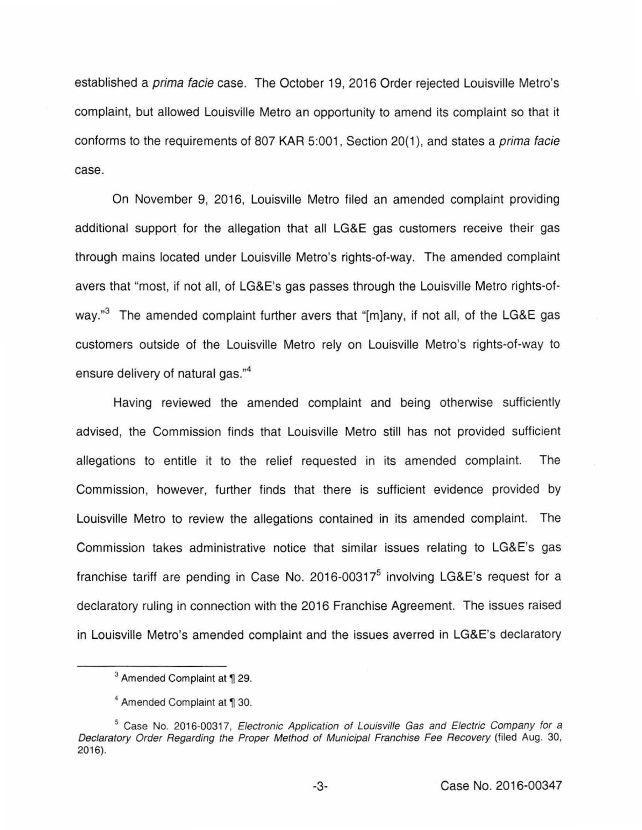established a prima facie case. The October 19, 2016 Order rejected Louisville Metro's complaint, but allowed Louisville Metro an opportunity to amend its complaint so that it conforms to the requirements of 807 KAR 5:001, Section 20(1), and states a *prima facie* case.

On November 9, 2016, Louisville Metro filed an amended complaint providing additional support for the allegation that all LG&E gas customers receive their gas through mains located under Louisville Metro's rights-of-way. The amended complaint avers that "most, if not all, of LG&E's gas passes through the Louisville Metro rights-ofway."<sup>3</sup> The amended complaint further avers that "[m]any, if not all, of the LG&E gas customers outside of the Louisville Metro rely on Louisville Metro's rights-of-way to ensure delivery of natural gas." 4

Having reviewed the amended complaint and being otherwise sufficiently advised, the Commission finds that Louisville Metro still has not provided sufficient allegations to entitle it to the relief requested in its amended complaint. The Commission, however, further finds that there is sufficient evidence provided by Louisville Metro to review the allegations contained in its amended complaint. The Commission takes administrative notice that similar issues relating to LG&E's gas franchise tariff are pending in Case No. 2016-00317 $<sup>5</sup>$  involving LG&E's request for a</sup> declaratory ruling in connection with the 2016 Franchise Agreement. The issues raised in Louisville Metro's amended complaint and the issues averred in LG&E's declaratory

<sup>&</sup>lt;sup>3</sup> Amended Complaint at ¶ 29.

<sup>&</sup>lt;sup>4</sup> Amended Complaint at ¶ 30.

<sup>&</sup>lt;sup>5</sup> Case No. 2016-00317, Electronic Application of Louisville Gas and Electric Company for a Declaratory Order Regarding the Proper Method of Municipal Franchise Fee Recovery (filed Aug. 30, 2016).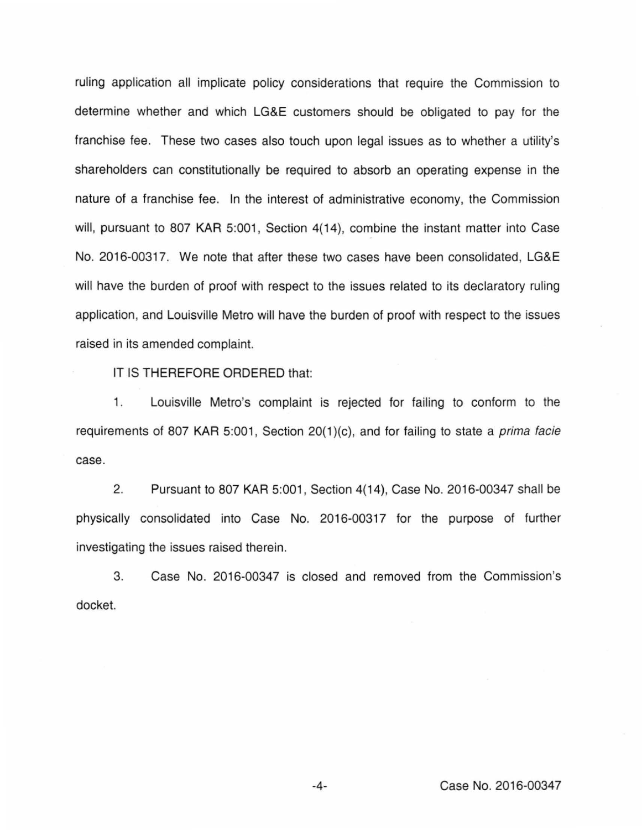ruling application all implicate policy considerations that require the Commission to determine whether and which LG&E customers should be obligated to pay for the franchise fee. These two cases also touch upon legal issues as to whether a utility's shareholders can constitutionally be required to absorb an operating expense in the nature of a franchise fee. In the interest of administrative economy, the Commission will, pursuant to 807 KAR 5:001, Section 4(14), combine the instant matter into Case No. 2016-00317. We note that after these two cases have been consolidated, LG&E will have the burden of proof with respect to the issues related to its declaratory ruling application, and Louisville Metro will have the burden of proof with respect to the issues raised in its amended complaint.

IT IS THEREFORE ORDERED that:

1 . Louisville Metro's complaint is rejected for failing to conform to the requirements of 807 KAR 5:001, Section  $20(1)(c)$ , and for failing to state a *prima facie* case.

2. Pursuant to 807 KAR 5:001 , Section 4(14), Case No. 2016-00347 shall be physically consolidated into Case No. 2016-00317 for the purpose of further investigating the issues raised therein.

3. Case No. 2016-00347 is closed and removed from the Commission's docket.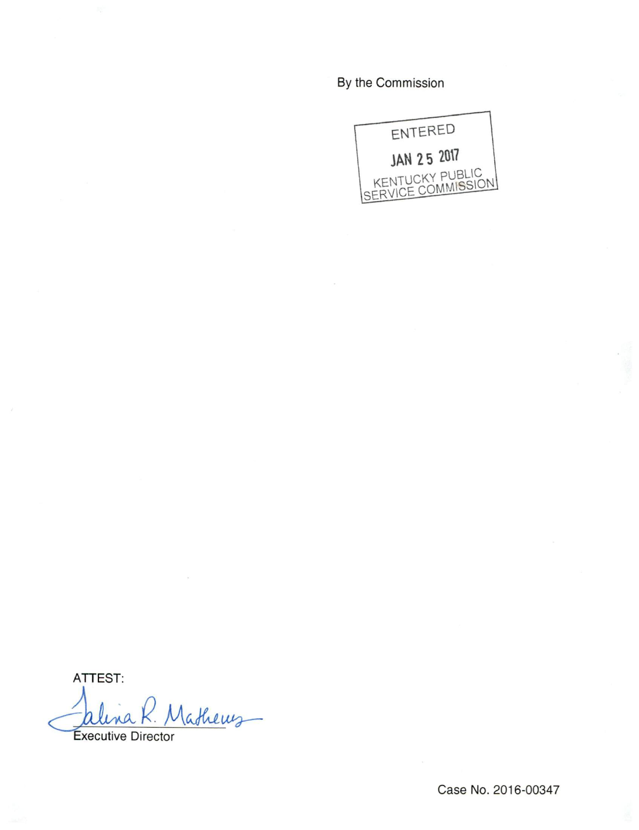By the Commission



ATTEST:

Vathews

**Executive Director** 

Case No. 2016-00347